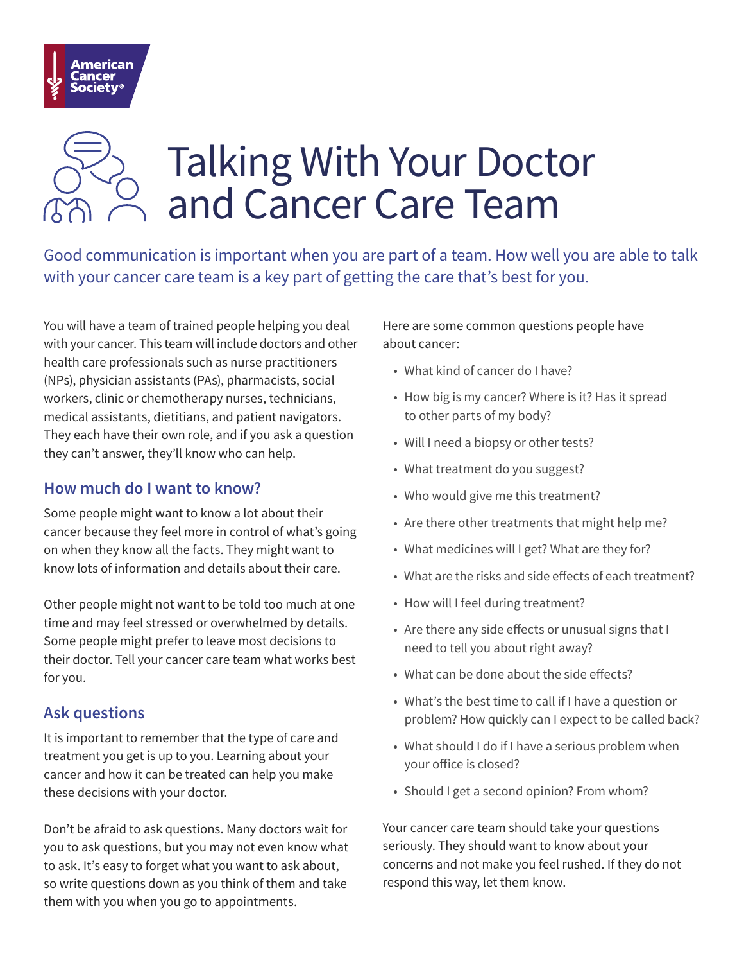

# Talking With Your Doctor and Cancer Care Team

Good communication is important when you are part of a team. How well you are able to talk with your cancer care team is a key part of getting the care that's best for you.

You will have a team of trained people helping you deal with your cancer. This team will include doctors and other health care professionals such as nurse practitioners (NPs), physician assistants (PAs), pharmacists, social workers, clinic or chemotherapy nurses, technicians, medical assistants, dietitians, and patient navigators. They each have their own role, and if you ask a question they can't answer, they'll know who can help.

#### **How much do I want to know?**

Some people might want to know a lot about their cancer because they feel more in control of what's going on when they know all the facts. They might want to know lots of information and details about their care.

Other people might not want to be told too much at one time and may feel stressed or overwhelmed by details. Some people might prefer to leave most decisions to their doctor. Tell your cancer care team what works best for you.

#### **Ask questions**

It is important to remember that the type of care and treatment you get is up to you. Learning about your cancer and how it can be treated can help you make these decisions with your doctor.

Don't be afraid to ask questions. Many doctors wait for you to ask questions, but you may not even know what to ask. It's easy to forget what you want to ask about, so write questions down as you think of them and take them with you when you go to appointments.

Here are some common questions people have about cancer:

- What kind of cancer do I have?
- How big is my cancer? Where is it? Has it spread to other parts of my body?
- Will I need a biopsy or other tests?
- What treatment do you suggest?
- Who would give me this treatment?
- Are there other treatments that might help me?
- What medicines will I get? What are they for?
- What are the risks and side effects of each treatment?
- How will I feel during treatment?
- Are there any side effects or unusual signs that I need to tell you about right away?
- What can be done about the side effects?
- What's the best time to call if I have a question or problem? How quickly can I expect to be called back?
- What should I do if I have a serious problem when your office is closed?
- Should I get a second opinion? From whom?

Your cancer care team should take your questions seriously. They should want to know about your concerns and not make you feel rushed. If they do not respond this way, let them know.